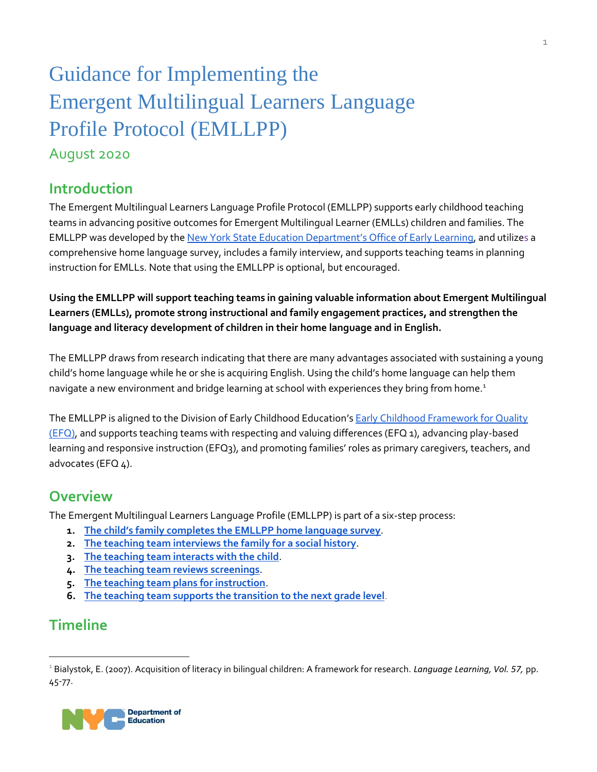# Guidance for Implementing the Emergent Multilingual Learners Language Profile Protocol (EMLLPP)

### August 2020

### **Introduction**

The Emergent Multilingual Learners Language Profile Protocol (EMLLPP) supports early childhood teaching teams in advancing positive outcomes for Emergent Multilingual Learner (EMLLs) children and families. The EMLLPP was developed by the [New York State Education Department's Office of Early Learning](http://www.nysed.gov/bilingual-ed/emergent-multilingual-learners-prekindergarten-programs), and utilizes a comprehensive home language survey, includes a family interview, and supports teaching teams in planning instruction for EMLLs. Note that using the EMLLPP is optional, but encouraged.

**Using the EMLLPP will support teaching teams in gaining valuable information about Emergent Multilingual Learners (EMLLs), promote strong instructional and family engagement practices, and strengthen the language and literacy development of children in their home language and in English.**

The EMLLPP draws from research indicating that there are many advantages associated with sustaining a young child's home language while he or she is acquiring English. Using the child's home language can help them navigate a new environment and bridge learning at school with experiences they bring from home.<sup>1</sup>

The EMLLPP is aligned to the Division of Early Childhood Education's Early Childhood Framework for Quality  $(EFQ)$ , and supports teaching teams with respecting and valuing differences (EFQ 1), advancing play-based learning and responsive instruction (EFQ3), and promoting families' roles as primary caregivers, teachers, and advocates (EFQ 4).

### **Overview**

The Emergent Multilingual Learners Language Profile (EMLLPP) is part of a six-step process:

- **1. [The child's family completes the EMLLPP home language survey](#page-1-0)**.
- **2. [The teaching team interviews the family for a social history](#page-4-0)**.
- **3. [The teaching team interacts with the child](#page-6-0)**.
- **4. [The teaching team reviews screenings](#page-8-0)**.
- **5. [The teaching team plans for instruction](#page-10-0)**.
- **6. [The teaching team supports the transition to the next grade level](#page-12-0)**.

### **Timeline**

 $\overline{a}$ 

<sup>1</sup> Bialystok, E. (2007). Acquisition of literacy in bilingual children: A framework for research. *Language Learning, Vol. 57,* pp. 45-77.

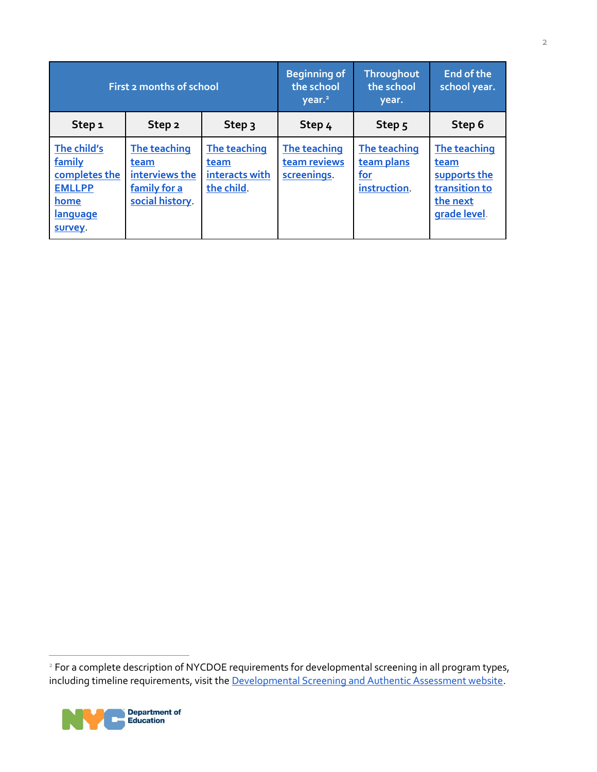<span id="page-1-0"></span>

| First 2 months of school                                                                      |                                                                          |                                                      | <b>Beginning of</b><br>the school<br>year. <sup>21</sup> | Throughout<br>the school<br>year.                        | End of the<br>school year.                                                        |
|-----------------------------------------------------------------------------------------------|--------------------------------------------------------------------------|------------------------------------------------------|----------------------------------------------------------|----------------------------------------------------------|-----------------------------------------------------------------------------------|
| Step <sub>1</sub>                                                                             | Step <sub>2</sub>                                                        | Step 3                                               | Step 4                                                   | Step <sub>5</sub>                                        | Step 6                                                                            |
| The child's<br>family<br>completes the<br><b>EMLLPP</b><br>home<br><b>language</b><br>survey. | The teaching<br>team<br>interviews the<br>family for a<br>social history | The teaching<br>team<br>interacts with<br>the child. | The teaching<br>team reviews<br>screenings.              | The teaching<br>team plans<br><u>for</u><br>instruction. | The teaching<br>team<br>supports the<br>transition to<br>the next<br>grade level. |

<sup>&</sup>lt;sup>2</sup> For a complete description of NYCDOE requirements for developmental screening in all program types, including timeline requirements, visit the **Developmental Screening and Authentic Assessment website**.



 $\overline{1}$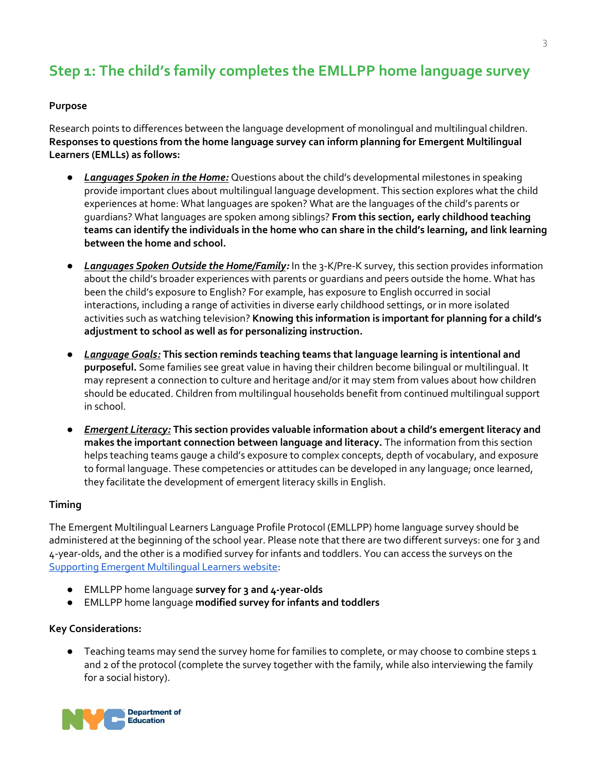# <span id="page-2-0"></span>**Step 1: The child's family completes the EMLLPP home language survey**

#### **Purpose**

Research points to differences between the language development of monolingual and multilingual children. **Responses to questions from the home language survey can inform planning for Emergent Multilingual Learners (EMLLs) as follows:** 

- *Languages Spoken in the Home:* Questions about the child's developmental milestones in speaking provide important clues about multilingual language development. This section explores what the child experiences at home: What languages are spoken? What are the languages of the child's parents or guardians? What languages are spoken among siblings? **From this section, early childhood teaching teams can identify the individuals in the home who can share in the child's learning, and link learning between the home and school.**
- *Languages Spoken Outside the Home/Family:* In the 3-K/Pre-K survey, this section provides information about the child's broader experiences with parents or guardians and peers outside the home. What has been the child's exposure to English? For example, has exposure to English occurred in social interactions, including a range of activities in diverse early childhood settings, or in more isolated activities such as watching television? **Knowing this information is important for planning for a child's adjustment to school as well as for personalizing instruction.**
- *Language Goals:* **This section reminds teaching teams that language learning is intentional and purposeful.** Some families see great value in having their children become bilingual or multilingual. It may represent a connection to culture and heritage and/or it may stem from values about how children should be educated. Children from multilingual households benefit from continued multilingual support in school.
- *Emergent Literacy:* **This section provides valuable information about a child's emergent literacy and makes the important connection between language and literacy.** The information from this section helps teaching teams gauge a child's exposure to complex concepts, depth of vocabulary, and exposure to formal language. These competencies or attitudes can be developed in any language; once learned, they facilitate the development of emergent literacy skills in English.

#### **Timing**

The Emergent Multilingual Learners Language Profile Protocol (EMLLPP) home language survey should be administered at the beginning of the school year. Please note that there are two different surveys: one for 3 and 4-year-olds, and the other is a modified survey for infants and toddlers. You can access the surveys on the [Supporting Emergent Multilingual Learners website:](https://infohub.nyced.org/working-with-the-doe/early-childhood/early-childhood-educators/supporting-quality-care-and-instruction/instructional-resources#jump-to-heading-7)

- EMLLPP home language **survey for 3 and 4-year-olds**
- EMLLPP home language **modified survey for infants and toddlers**

#### **Key Considerations:**

● Teaching teams may send the survey home for families to complete, or may choose to combine steps 1 and 2 of the protocol (complete the survey together with the family, while also interviewing the family for a social history).

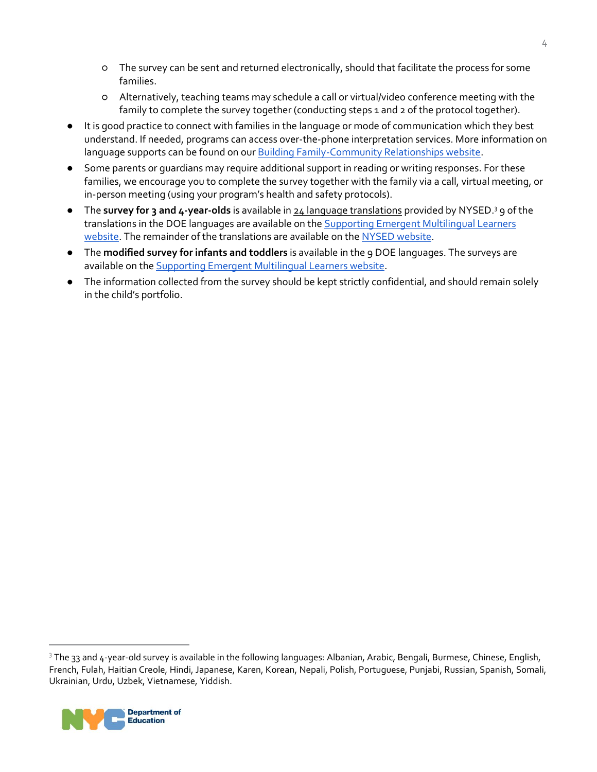- The survey can be sent and returned electronically, should that facilitate the process for some families.
- Alternatively, teaching teams may schedule a call or virtual/video conference meeting with the family to complete the survey together (conducting steps 1 and 2 of the protocol together).
- It is good practice to connect with families in the language or mode of communication which they best understand. If needed, programs can access over-the-phone interpretation services. More information on language supports can be found on ou[r Building Family-Community Relationships website.](https://infohub.nyced.org/working-with-the-doe/early-childhood/early-childhood-educators/building-family-community-relationships)
- Some parents or guardians may require additional support in reading or writing responses. For these families, we encourage you to complete the survey together with the family via a call, virtual meeting, or in-person meeting (using your program's health and safety protocols).
- The **survey for 3 and 4-year-olds** is available in [24 language translations](http://www.nysed.gov/bilingual-ed/emergent-multilingual-learners-prekindergarten-programs) provided by NYSED.<sup>3</sup> 9 of the translations in the DOE languages are available on the **Supporting Emergent Multilingual Learners** [website.](https://infohub.nyced.org/working-with-the-doe/early-childhood/early-childhood-educators/supporting-quality-care-and-instruction/instructional-resources#jump-to-heading-7) The remainder of the translations are available on the [NYSED website.](http://www.nysed.gov/bilingual-ed/emergent-multilingual-learners-prekindergarten-programs)
- The **modified survey for infants and toddlers** is available in the 9 DOE languages. The surveys are available on th[e Supporting Emergent Multilingual Learners website.](https://infohub.nyced.org/working-with-the-doe/early-childhood/early-childhood-educators/supporting-quality-care-and-instruction/instructional-resources#jump-to-heading-7)
- The information collected from the survey should be kept strictly confidential, and should remain solely in the child's portfolio.

<sup>&</sup>lt;sup>3</sup> The 33 and 4-year-old survey is available in the following languages: Albanian, Arabic, Bengali, Burmese, Chinese, English, French, Fulah, Haitian Creole, Hindi, Japanese, Karen, Korean, Nepali, Polish, Portuguese, Punjabi, Russian, Spanish, Somali, Ukrainian, Urdu, Uzbek, Vietnamese, Yiddish.



 $\overline{a}$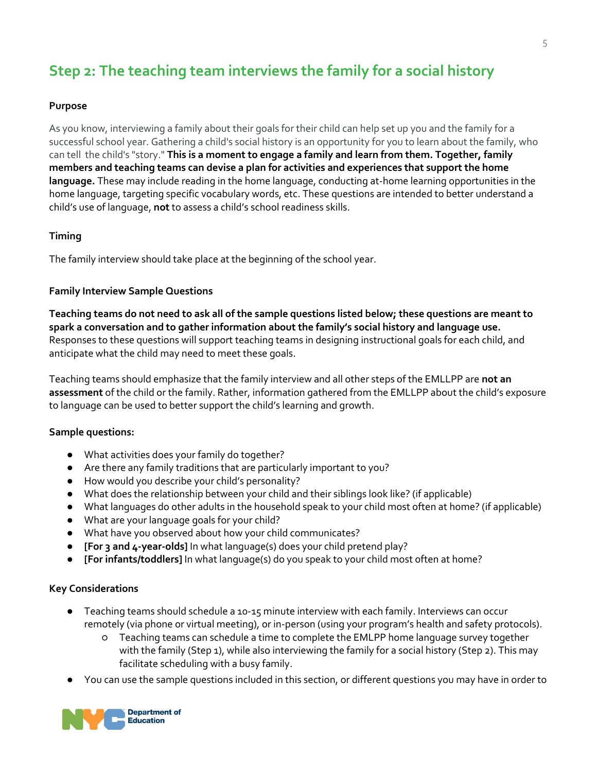## <span id="page-4-0"></span>**Step 2: The teaching team interviews the family for a social history**

#### **Purpose**

As you know, interviewing a family about their goals for their child can help set up you and the family for a successful school year. Gathering a child's social history is an opportunity for you to learn about the family, who can tell the child's "story." **This is a moment to engage a family and learn from them. Together, family members and teaching teams can devise a plan for activities and experiences that support the home language.** These may include reading in the home language, conducting at-home learning opportunities in the home language, targeting specific vocabulary words, etc. These questions are intended to better understand a child's use of language, **not** to assess a child's school readiness skills.

#### **Timing**

The family interview should take place at the beginning of the school year.

#### **Family Interview Sample Questions**

**Teaching teams do not need to ask all of the sample questions listed below; these questions are meant to spark a conversation and to gather information about the family's social history and language use.**  Responses to these questions will support teaching teams in designing instructional goals for each child, and anticipate what the child may need to meet these goals.

Teaching teams should emphasize that the family interview and all other steps of the EMLLPP are **not an assessment** of the child or the family. Rather, information gathered from the EMLLPP about the child's exposure to language can be used to better support the child's learning and growth.

#### **Sample questions:**

- What activities does your family do together?
- Are there any family traditions that are particularly important to you?
- How would you describe your child's personality?
- What does the relationship between your child and their siblings look like? (if applicable)
- What languages do other adults in the household speak to your child most often at home? (if applicable)
- What are your language goals for your child?
- What have you observed about how your child communicates?
- **[For 3 and 4-year-olds]** In what language(s) does your child pretend play?
- **[For infants/toddlers]** In what language(s) do you speak to your child most often at home?

#### **Key Considerations**

- Teaching teams should schedule a 10-15 minute interview with each family. Interviews can occur remotely (via phone or virtual meeting), or in-person (using your program's health and safety protocols).
	- Teaching teams can schedule a time to complete the EMLPP home language survey together with the family (Step 1), while also interviewing the family for a social history (Step 2). This may facilitate scheduling with a busy family.
- You can use the sample questions included in this section, or different questions you may have in order to

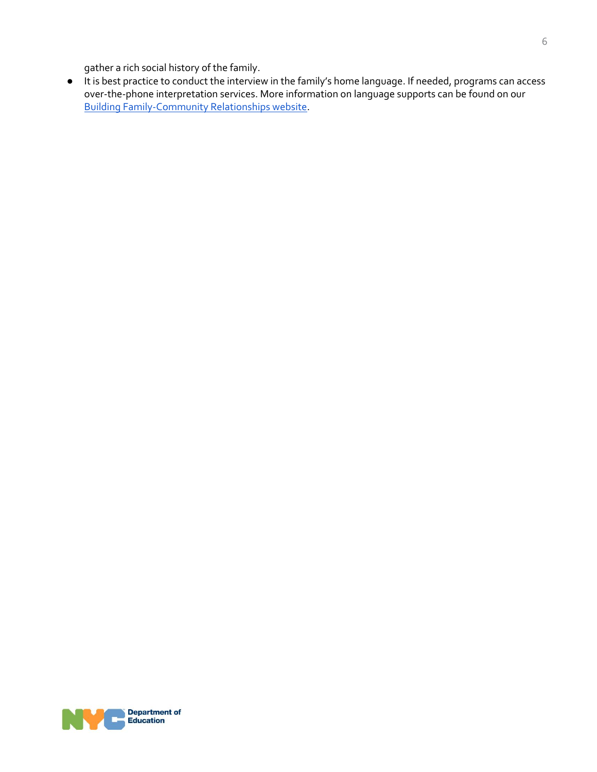gather a rich social history of the family.

<span id="page-5-0"></span>● It is best practice to conduct the interview in the family's home language. If needed, programs can access over-the-phone interpretation services. More information on language supports can be found on our [Building Family-Community Relationships website.](https://infohub.nyced.org/working-with-the-doe/early-childhood/early-childhood-educators/building-family-community-relationships)

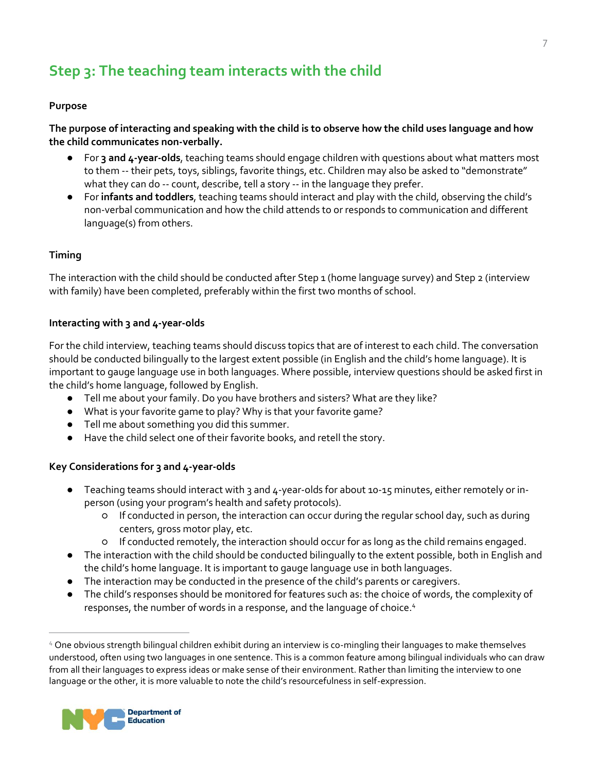# <span id="page-6-0"></span>**Step 3: The teaching team interacts with the child**

#### **Purpose**

**The purpose of interacting and speaking with the child is to observe how the child uses language and how the child communicates non-verbally.**

- For **3 and 4-year-olds**, teaching teams should engage children with questions about what matters most to them -- their pets, toys, siblings, favorite things, etc. Children may also be asked to "demonstrate" what they can do -- count, describe, tell a story -- in the language they prefer.
- For **infants and toddlers**, teaching teams should interact and play with the child, observing the child's non-verbal communication and how the child attends to or responds to communication and different language(s) from others.

#### **Timing**

The interaction with the child should be conducted after Step 1 (home language survey) and Step 2 (interview with family) have been completed, preferably within the first two months of school.

#### **Interacting with 3 and 4-year-olds**

For the child interview, teaching teams should discuss topics that are of interest to each child. The conversation should be conducted bilingually to the largest extent possible (in English and the child's home language). It is important to gauge language use in both languages. Where possible, interview questions should be asked first in the child's home language, followed by English.

- Tell me about your family. Do you have brothers and sisters? What are they like?
- What is your favorite game to play? Why is that your favorite game?
- Tell me about something you did this summer.
- Have the child select one of their favorite books, and retell the story.

#### **Key Considerations for 3 and 4-year-olds**

- Teaching teams should interact with 3 and 4-year-olds for about 10-15 minutes, either remotely or inperson (using your program's health and safety protocols).
	- If conducted in person, the interaction can occur during the regular school day, such as during centers, gross motor play, etc.
	- If conducted remotely, the interaction should occur for as long as the child remains engaged.
- The interaction with the child should be conducted bilingually to the extent possible, both in English and the child's home language. It is important to gauge language use in both languages.
- The interaction may be conducted in the presence of the child's parents or caregivers.
- The child's responses should be monitored for features such as: the choice of words, the complexity of responses, the number of words in a response, and the language of choice.<sup>4</sup>

<sup>4</sup> One obvious strength bilingual children exhibit during an interview is co-mingling their languages to make themselves understood, often using two languages in one sentence. This is a common feature among bilingual individuals who can draw from all their languages to express ideas or make sense of their environment. Rather than limiting the interview to one language or the other, it is more valuable to note the child's resourcefulness in self-expression.



 $\overline{a}$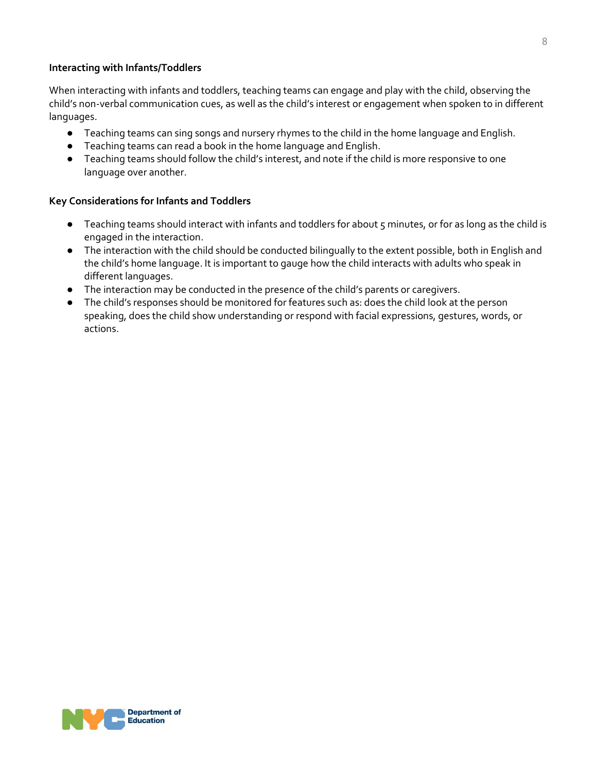#### **Interacting with Infants/Toddlers**

When interacting with infants and toddlers, teaching teams can engage and play with the child, observing the child's non-verbal communication cues, as well as the child's interest or engagement when spoken to in different languages.

- Teaching teams can sing songs and nursery rhymes to the child in the home language and English.
- Teaching teams can read a book in the home language and English.
- Teaching teams should follow the child's interest, and note if the child is more responsive to one language over another.

#### **Key Considerations for Infants and Toddlers**

- Teaching teams should interact with infants and toddlers for about 5 minutes, or for as long as the child is engaged in the interaction.
- The interaction with the child should be conducted bilingually to the extent possible, both in English and the child's home language. It is important to gauge how the child interacts with adults who speak in different languages.
- The interaction may be conducted in the presence of the child's parents or caregivers.
- The child's responses should be monitored for features such as: does the child look at the person speaking, does the child show understanding or respond with facial expressions, gestures, words, or actions.

8

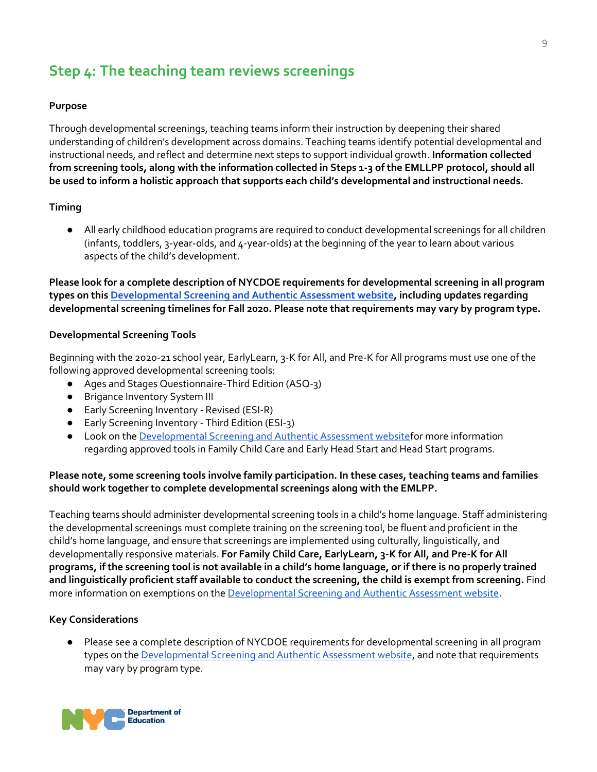### <span id="page-8-0"></span>**Step 4: The teaching team reviews screenings**

#### **Purpose**

Through developmental screenings, teaching teams inform their instruction by deepening their shared understanding of children's development across domains. Teaching teams identify potential developmental and instructional needs, and reflect and determine next steps to support individual growth. **Information collected from screening tools, along with the information collected in Steps 1-3 of the EMLLPP protocol, should all be used to inform a holistic approach that supports each child's developmental and instructional needs.** 

#### **Timing**

● All early childhood education programs are required to conduct developmental screenings for all children (infants, toddlers, 3-year-olds, and 4-year-olds) at the beginning of the year to learn about various aspects of the child's development.

**Please look for a complete description of NYCDOE requirements for developmental screening in all program types on thi[s Developmental Screening and Authentic Assessment website,](https://infohub.nyced.org/working-with-the-doe/early-childhood/early-childhood-educators/supporting-quality-care-and-instruction/screening-assessment) including updates regarding developmental screening timelines for Fall 2020. Please note that requirements may vary by program type.**

#### **Developmental Screening Tools**

Beginning with the 2020-21 school year, EarlyLearn, 3-K for All, and Pre-K for All programs must use one of the following approved developmental screening tools:

- Ages and Stages Questionnaire-Third Edition (ASQ-3)
- Brigance Inventory System III
- Early Screening Inventory Revised (ESI-R)
- Early Screening Inventory Third Edition (ESI-3)
- Look on th[e Developmental Screening and Authentic Assessment websitef](https://infohub.nyced.org/working-with-the-doe/early-childhood/early-childhood-educators/supporting-quality-care-and-instruction/screening-assessment)or more information regarding approved tools in Family Child Care and Early Head Start and Head Start programs.

#### **Please note, some screening tools involve family participation. In these cases, teaching teams and families should work together to complete developmental screenings along with the EMLPP.**

Teaching teams should administer developmental screening tools in a child's home language. Staff administering the developmental screenings must complete training on the screening tool, be fluent and proficient in the child's home language, and ensure that screenings are implemented using culturally, linguistically, and developmentally responsive materials. **For Family Child Care, EarlyLearn, 3-K for All, and Pre-K for All programs, if the screening tool is not available in a child's home language, or if there is no properly trained and linguistically proficient staff available to conduct the screening, the child is exempt from screening.** Find more information on exemptions on th[e Developmental Screening and Authentic Assessment website.](https://infohub.nyced.org/working-with-the-doe/early-childhood/early-childhood-educators/supporting-quality-care-and-instruction/screening-assessment)

#### **Key Considerations**

● Please see a complete description of NYCDOE requirements for developmental screening in all program types on th[e Developmental Screening and Authentic Assessment website,](https://infohub.nyced.org/working-with-the-doe/early-childhood/early-childhood-educators/supporting-quality-care-and-instruction/screening-assessment) and note that requirements may vary by program type.

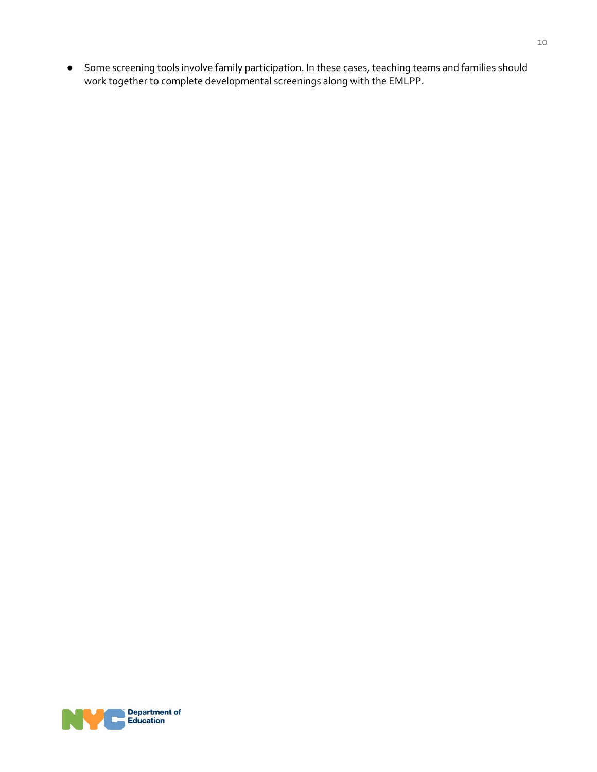● Some screening tools involve family participation. In these cases, teaching teams and families should work together to complete developmental screenings along with the EMLPP.

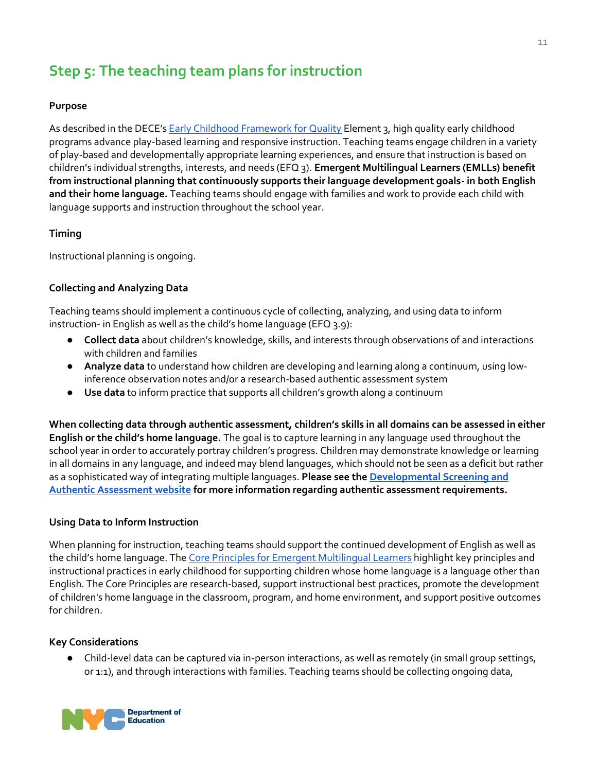# <span id="page-10-0"></span>**Step 5: The teaching team plans for instruction**

#### **Purpose**

As described in the DECE's [Early Childhood Framework for Quality](https://infohub.nyced.org/docs/default-source/default-document-library/early-childhood-framework-for-quality.pdf) Element 3, high quality early childhood programs advance play-based learning and responsive instruction. Teaching teams engage children in a variety of play-based and developmentally appropriate learning experiences, and ensure that instruction is based on children's individual strengths, interests, and needs (EFQ 3). **Emergent Multilingual Learners (EMLLs) benefit from instructional planning that continuously supports their language development goals- in both English and their home language.** Teaching teams should engage with families and work to provide each child with language supports and instruction throughout the school year.

#### **Timing**

Instructional planning is ongoing.

#### **Collecting and Analyzing Data**

Teaching teams should implement a continuous cycle of collecting, analyzing, and using data to inform instruction- in English as well as the child's home language (EFQ 3.9):

- **Collect data** about children's knowledge, skills, and interests through observations of and interactions with children and families
- **Analyze data** to understand how children are developing and learning along a continuum, using lowinference observation notes and/or a research-based authentic assessment system
- **Use data** to inform practice that supports all children's growth along a continuum

**When collecting data through authentic assessment, children's skills in all domains can be assessed in either English or the child's home language.** The goal is to capture learning in any language used throughout the school year in order to accurately portray children's progress. Children may demonstrate knowledge or learning in all domains in any language, and indeed may blend languages, which should not be seen as a deficit but rather as a sophisticated way of integrating multiple languages. **Please see the [Developmental Screening and](https://infohub.nyced.org/working-with-the-doe/early-childhood/early-childhood-educators/supporting-quality-care-and-instruction/screening-assessment)  [Authentic Assessment website](https://infohub.nyced.org/working-with-the-doe/early-childhood/early-childhood-educators/supporting-quality-care-and-instruction/screening-assessment) for more information regarding authentic assessment requirements.**

#### **Using Data to Inform Instruction**

When planning for instruction, teaching teams should support the continued development of English as well as the child's home language. The [Core Principles for Emergent Multilingual Learners](https://infohub.nyced.org/docs/default-source/default-document-library/emll-core-principles.pdf?sfvrsn=84952a93_2) highlight key principles and instructional practices in early childhood for supporting children whose home language is a language other than English. The Core Principles are research-based, support instructional best practices, promote the development of children's home language in the classroom, program, and home environment, and support positive outcomes for children.

#### **Key Considerations**

Child-level data can be captured via in-person interactions, as well as remotely (in small group settings, or 1:1), and through interactions with families. Teaching teams should be collecting ongoing data,

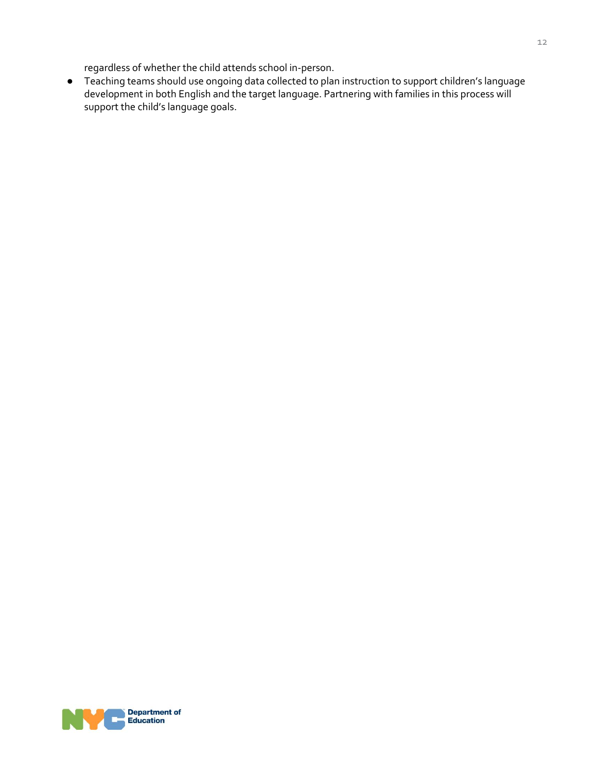regardless of whether the child attends school in-person.

● Teaching teams should use ongoing data collected to plan instruction to support children's language development in both English and the target language. Partnering with families in this process will support the child's language goals.

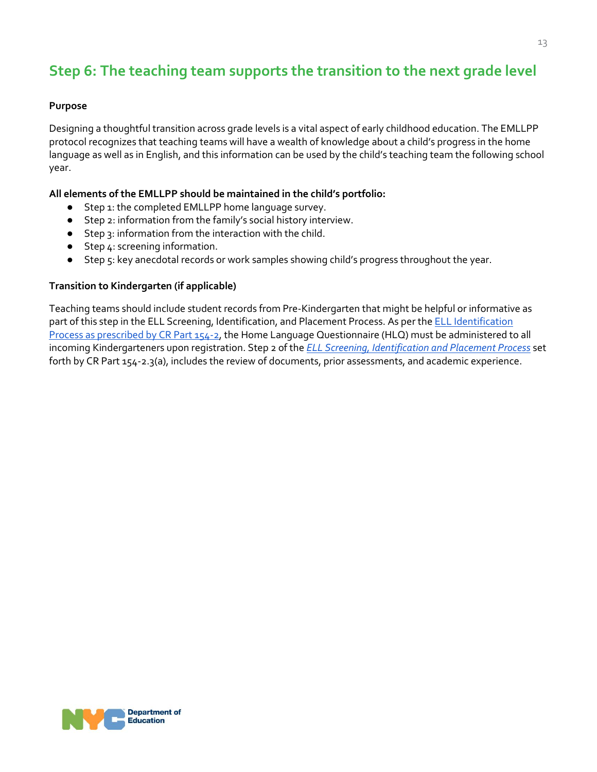## <span id="page-12-0"></span>**Step 6: The teaching team supports the transition to the next grade level**

#### **Purpose**

Designing a thoughtful transition across grade levels is a vital aspect of early childhood education. The EMLLPP protocol recognizes that teaching teams will have a wealth of knowledge about a child's progress in the home language as well as in English, and this information can be used by the child's teaching team the following school year.

#### **All elements of the EMLLPP should be maintained in the child's portfolio:**

- Step 1: the completed EMLLPP home language survey.
- Step 2: information from the family's social history interview.
- Step 3: information from the interactio[n with the child.](#page-5-0)
- Step 4: screening information.
- Step 5: key anecdotal records or work samples showing child's progress throughout the year.

#### **Transition to Kindergarten (if applicable)**

Teaching teams should include student records from Pre-Kindergarten that might be helpful or informative as part of this step in the ELL Screening, Identification, and Placement Process. As per the **ELL** Identification [Process as prescribed by CR Part 154-2,](http://www.nysed.gov/bilingual-ed/ell-identification-placementhome-language-questionnaire) the Home Language Questionnaire (HLQ) must be administered to all incoming Kindergarteners upon registration. Step 2 of the *[ELL Screening, Identification and Placement Process](http://www.nysed.gov/bilingual-ed/ell-identification-placementhome-language-questionnaire)* set forth by CR Part 154-2.3(a), includes the review of documents, prior assessments, and academic experience.

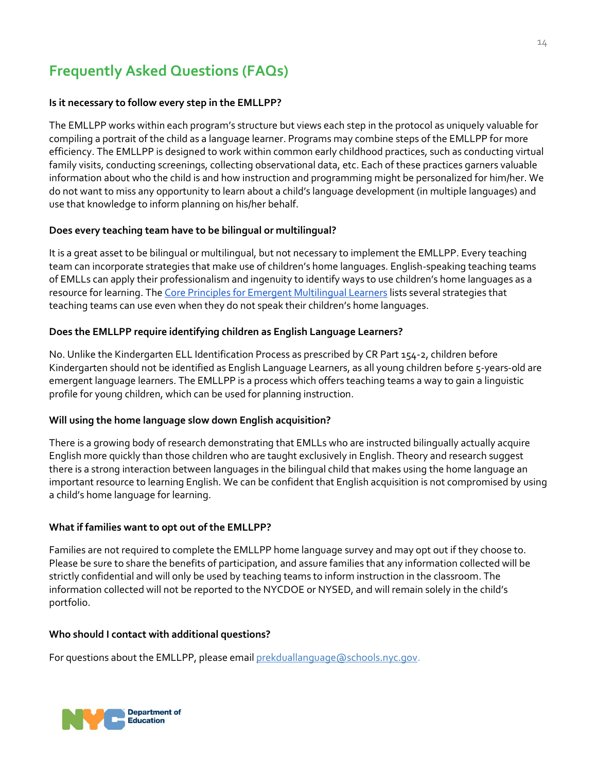# **Frequently Asked Questions (FAQs)**

#### **Is it necessary to follow every step in the EMLLPP?**

The EMLLPP works within each program's structure but views each step in the protocol as uniquely valuable for compiling a portrait of the child as a language learner. Programs may combine steps of the EMLLPP for more efficiency. The EMLLPP is designed to work within common early childhood practices, such as conducting virtual family visits, conducting screenings, collecting observational data, etc. Each of these practices garners valuable information about who the child is and how instruction and programming might be personalized for him/her. We do not want to miss any opportunity to learn about a child's language development (in multiple languages) and use that knowledge to inform planning on his/her behalf.

#### **Does every teaching team have to be bilingual or multilingual?**

It is a great asset to be bilingual or multilingual, but not necessary to implement the EMLLPP. Every teaching team can incorporate strategies that make use of children's home languages. English-speaking teaching teams of EMLLs can apply their professionalism and ingenuity to identify ways to use children's home languages as a resource for learning. The [Core Principles for Emergent Multilingual Learners](https://infohub.nyced.org/docs/default-source/default-document-library/emll-core-principles.pdf?sfvrsn=84952a93_2) lists several strategies that teaching teams can use even when they do not speak their children's home languages.

#### **Does the EMLLPP require identifying children as English Language Learners?**

No. Unlike the Kindergarten ELL Identification Process as prescribed by CR Part 154-2, children before Kindergarten should not be identified as English Language Learners, as all young children before 5-years-old are emergent language learners. The EMLLPP is a process which offers teaching teams a way to gain a linguistic profile for young children, which can be used for planning instruction.

#### **Will using the home language slow down English acquisition?**

There is a growing body of research demonstrating that EMLLs who are instructed bilingually actually acquire English more quickly than those children who are taught exclusively in English. Theory and research suggest there is a strong interaction between languages in the bilingual child that makes using the home language an important resource to learning English. We can be confident that English acquisition is not compromised by using a child's home language for learning.

#### **What if families want to opt out of the EMLLPP?**

Families are not required to complete the EMLLPP home language survey and may opt out if they choose to. Please be sure to share the benefits of participation, and assure families that any information collected will be strictly confidential and will only be used by teaching teams to inform instruction in the classroom. The information collected will not be reported to the NYCDOE or NYSED, and will remain solely in the child's portfolio.

#### **Who should I contact with additional questions?**

For questions about the EMLLPP, please email [prekduallanguage@schools.nyc.gov.](mailto:prekduallanguage@schools.nyc.gov)